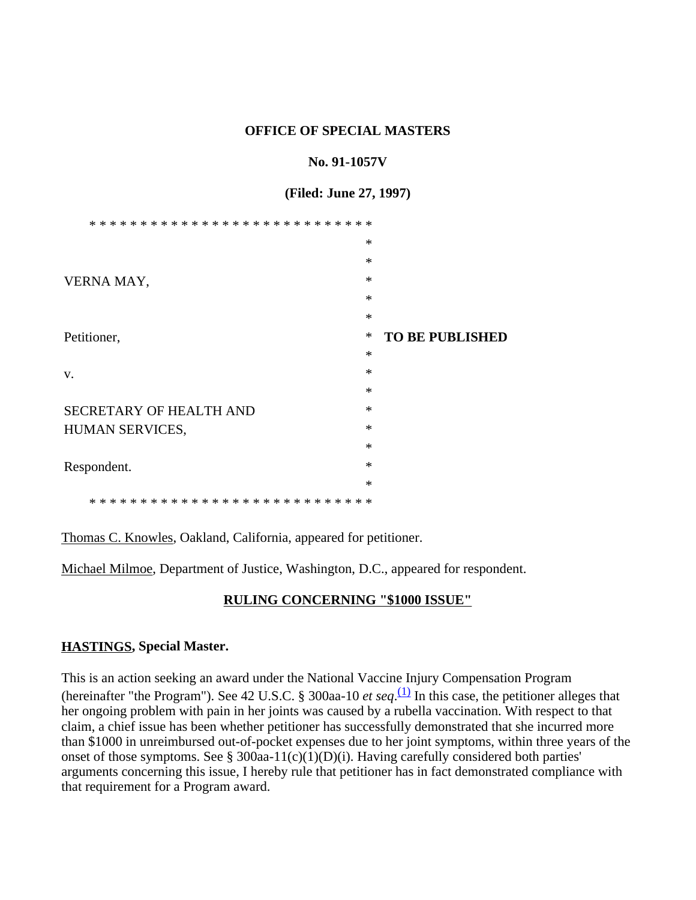### **OFFICE OF SPECIAL MASTERS**

## **No. 91-1057V**

## **(Filed: June 27, 1997)**

|                                | $\ast$ |                        |
|--------------------------------|--------|------------------------|
|                                | $\ast$ |                        |
| VERNA MAY,                     | $\ast$ |                        |
|                                | $\ast$ |                        |
|                                | $\ast$ |                        |
| Petitioner,                    | $\ast$ | <b>TO BE PUBLISHED</b> |
|                                | $\ast$ |                        |
| V.                             | $\ast$ |                        |
|                                | $\ast$ |                        |
| <b>SECRETARY OF HEALTH AND</b> | $\ast$ |                        |
| HUMAN SERVICES,                | $\ast$ |                        |
|                                | $\ast$ |                        |
| Respondent.                    | $\ast$ |                        |
|                                | $\ast$ |                        |
| $* *$                          |        |                        |

Thomas C. Knowles, Oakland, California, appeared for petitioner.

Michael Milmoe, Department of Justice, Washington, D.C., appeared for respondent.

## **RULING CONCERNING "\$1000 ISSUE"**

## **HASTINGS, Special Master.**

This is an action seeking an award under the National Vaccine Injury Compensation Program (hereinafter "the Program"). See 42 U.S.C. § 300aa-10 *et seq*.  $\frac{(1)}{(1)}$  In this case, the petitioner alleges that her ongoing problem with pain in her joints was caused by a rubella vaccination. With respect to that claim, a chief issue has been whether petitioner has successfully demonstrated that she incurred more than \$1000 in unreimbursed out-of-pocket expenses due to her joint symptoms, within three years of the onset of those symptoms. See § 300aa-11(c)(1)(D)(i). Having carefully considered both parties' arguments concerning this issue, I hereby rule that petitioner has in fact demonstrated compliance with that requirement for a Program award.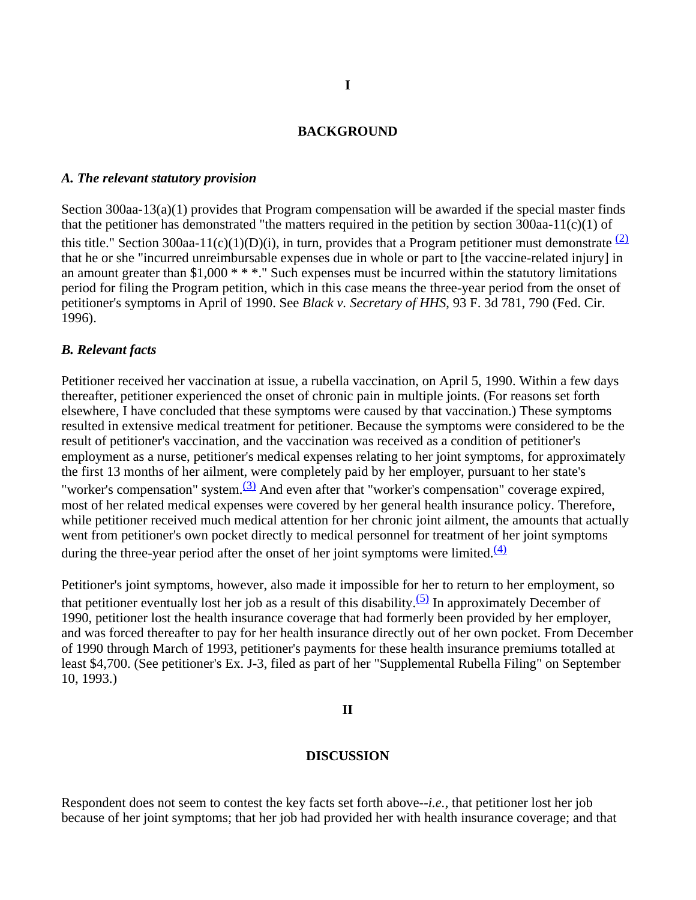#### **BACKGROUND**

#### *A. The relevant statutory provision*

Section 300aa-13(a)(1) provides that Program compensation will be awarded if the special master finds that the petitioner has demonstrated "the matters required in the petition by section  $300$ aa-11(c)(1) of this title." Section 300aa-11(c)(1)(D)(i), in turn, provides that a Program petitioner must demonstrate  $(2)$ that he or she "incurred unreimbursable expenses due in whole or part to [the vaccine-related injury] in an amount greater than \$1,000 \* \* \*." Such expenses must be incurred within the statutory limitations period for filing the Program petition, which in this case means the three-year period from the onset of petitioner's symptoms in April of 1990. See *Black v. Secretary of HHS*, 93 F. 3d 781, 790 (Fed. Cir. 1996).

#### *B. Relevant facts*

Petitioner received her vaccination at issue, a rubella vaccination, on April 5, 1990. Within a few days thereafter, petitioner experienced the onset of chronic pain in multiple joints. (For reasons set forth elsewhere, I have concluded that these symptoms were caused by that vaccination.) These symptoms resulted in extensive medical treatment for petitioner. Because the symptoms were considered to be the result of petitioner's vaccination, and the vaccination was received as a condition of petitioner's employment as a nurse, petitioner's medical expenses relating to her joint symptoms, for approximately the first 13 months of her ailment, were completely paid by her employer, pursuant to her state's "worker's compensation" system. $(3)$  And even after that "worker's compensation" coverage expired, most of her related medical expenses were covered by her general health insurance policy. Therefore, while petitioner received much medical attention for her chronic joint ailment, the amounts that actually went from petitioner's own pocket directly to medical personnel for treatment of her joint symptoms during the three-year period after the onset of her joint symptoms were limited. $\frac{(4)}{4}$ 

Petitioner's joint symptoms, however, also made it impossible for her to return to her employment, so that petitioner eventually lost her job as a result of this disability. $(5)$  In approximately December of 1990, petitioner lost the health insurance coverage that had formerly been provided by her employer, and was forced thereafter to pay for her health insurance directly out of her own pocket. From December of 1990 through March of 1993, petitioner's payments for these health insurance premiums totalled at least \$4,700. (See petitioner's Ex. J-3, filed as part of her "Supplemental Rubella Filing" on September 10, 1993.)

#### **II**

#### **DISCUSSION**

Respondent does not seem to contest the key facts set forth above--*i.e.*, that petitioner lost her job because of her joint symptoms; that her job had provided her with health insurance coverage; and that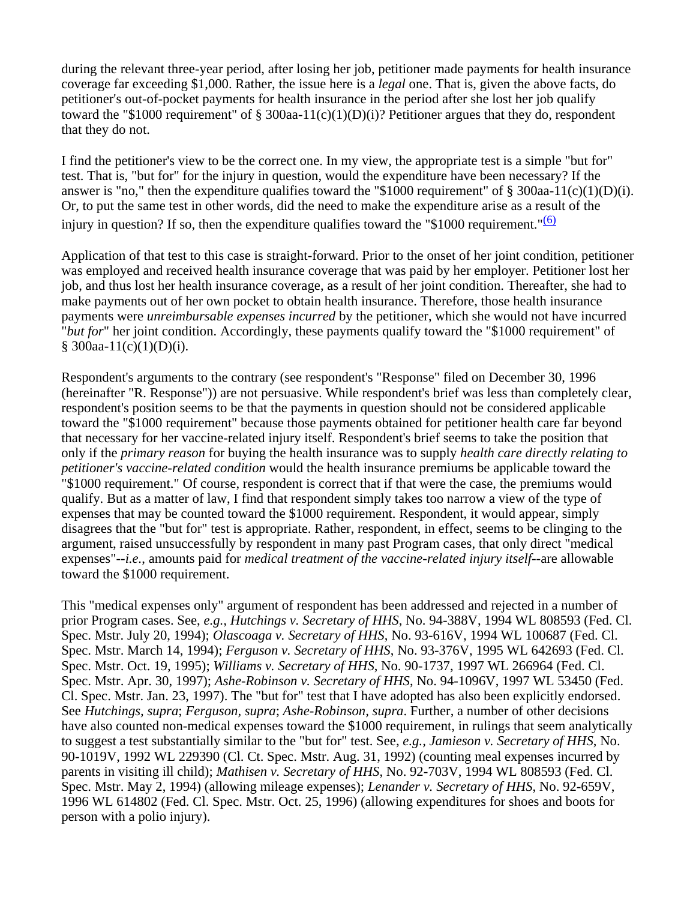during the relevant three-year period, after losing her job, petitioner made payments for health insurance coverage far exceeding \$1,000. Rather, the issue here is a *legal* one. That is, given the above facts, do petitioner's out-of-pocket payments for health insurance in the period after she lost her job qualify toward the "\$1000 requirement" of § 300aa-11(c)(1)(D)(i)? Petitioner argues that they do, respondent that they do not.

I find the petitioner's view to be the correct one. In my view, the appropriate test is a simple "but for" test. That is, "but for" for the injury in question, would the expenditure have been necessary? If the answer is "no," then the expenditure qualifies toward the "\$1000 requirement" of  $\S$  300aa-11(c)(1)(D)(i). Or, to put the same test in other words, did the need to make the expenditure arise as a result of the injury in question? If so, then the expenditure qualifies toward the "\$1000 requirement." $(6)$ 

Application of that test to this case is straight-forward. Prior to the onset of her joint condition, petitioner was employed and received health insurance coverage that was paid by her employer. Petitioner lost her job, and thus lost her health insurance coverage, as a result of her joint condition. Thereafter, she had to make payments out of her own pocket to obtain health insurance. Therefore, those health insurance payments were *unreimbursable expenses incurred* by the petitioner, which she would not have incurred "*but for*" her joint condition. Accordingly, these payments qualify toward the "\$1000 requirement" of  $§$  300aa-11(c)(1)(D)(i).

Respondent's arguments to the contrary (see respondent's "Response" filed on December 30, 1996 (hereinafter "R. Response")) are not persuasive. While respondent's brief was less than completely clear, respondent's position seems to be that the payments in question should not be considered applicable toward the "\$1000 requirement" because those payments obtained for petitioner health care far beyond that necessary for her vaccine-related injury itself. Respondent's brief seems to take the position that only if the *primary reason* for buying the health insurance was to supply *health care directly relating to petitioner's vaccine-related condition* would the health insurance premiums be applicable toward the "\$1000 requirement." Of course, respondent is correct that if that were the case, the premiums would qualify. But as a matter of law, I find that respondent simply takes too narrow a view of the type of expenses that may be counted toward the \$1000 requirement. Respondent, it would appear, simply disagrees that the "but for" test is appropriate. Rather, respondent, in effect, seems to be clinging to the argument, raised unsuccessfully by respondent in many past Program cases, that only direct "medical expenses"--*i.e.*, amounts paid for *medical treatment of the vaccine-related injury itself*--are allowable toward the \$1000 requirement.

This "medical expenses only" argument of respondent has been addressed and rejected in a number of prior Program cases. See, *e.g., Hutchings v. Secretary of HHS*, No. 94-388V, 1994 WL 808593 (Fed. Cl. Spec. Mstr. July 20, 1994); *Olascoaga v. Secretary of HHS*, No. 93-616V, 1994 WL 100687 (Fed. Cl. Spec. Mstr. March 14, 1994); *Ferguson v. Secretary of HHS*, No. 93-376V, 1995 WL 642693 (Fed. Cl. Spec. Mstr. Oct. 19, 1995); *Williams v. Secretary of HHS*, No. 90-1737, 1997 WL 266964 (Fed. Cl. Spec. Mstr. Apr. 30, 1997); *Ashe-Robinson v. Secretary of HHS*, No. 94-1096V, 1997 WL 53450 (Fed. Cl. Spec. Mstr. Jan. 23, 1997). The "but for" test that I have adopted has also been explicitly endorsed. See *Hutchings, supra*; *Ferguson, supra*; *Ashe-Robinson, supra*. Further, a number of other decisions have also counted non-medical expenses toward the \$1000 requirement, in rulings that seem analytically to suggest a test substantially similar to the "but for" test. See, *e.g., Jamieson v. Secretary of HHS*, No. 90-1019V, 1992 WL 229390 (Cl. Ct. Spec. Mstr. Aug. 31, 1992) (counting meal expenses incurred by parents in visiting ill child); *Mathisen v. Secretary of HHS*, No. 92-703V, 1994 WL 808593 (Fed. Cl. Spec. Mstr. May 2, 1994) (allowing mileage expenses); *Lenander v. Secretary of HHS*, No. 92-659V, 1996 WL 614802 (Fed. Cl. Spec. Mstr. Oct. 25, 1996) (allowing expenditures for shoes and boots for person with a polio injury).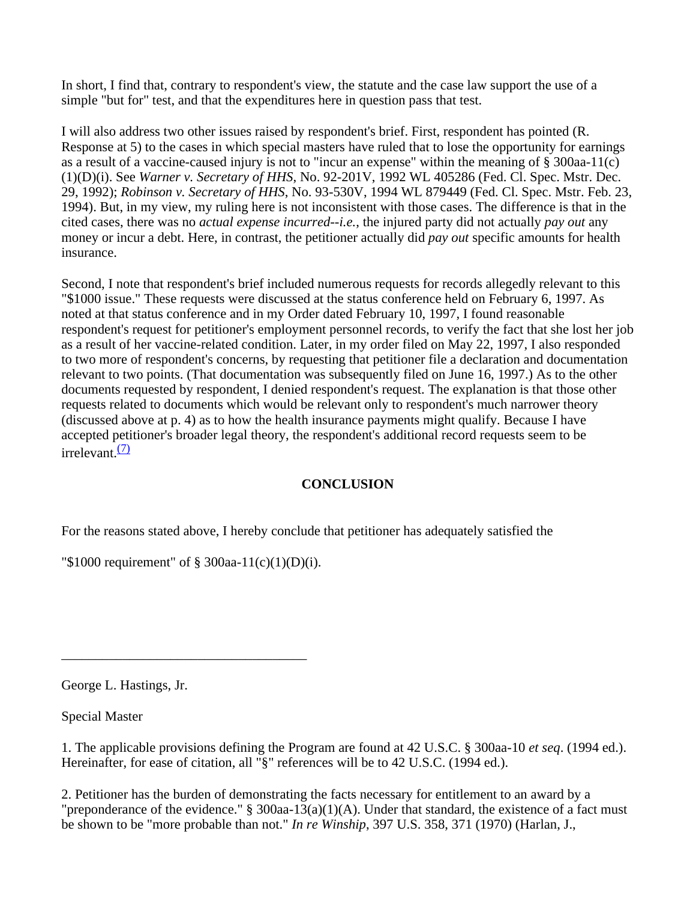In short, I find that, contrary to respondent's view, the statute and the case law support the use of a simple "but for" test, and that the expenditures here in question pass that test.

I will also address two other issues raised by respondent's brief. First, respondent has pointed (R. Response at 5) to the cases in which special masters have ruled that to lose the opportunity for earnings as a result of a vaccine-caused injury is not to "incur an expense" within the meaning of § 300aa-11(c) (1)(D)(i). See *Warner v. Secretary of HHS*, No. 92-201V, 1992 WL 405286 (Fed. Cl. Spec. Mstr. Dec. 29, 1992); *Robinson v. Secretary of HHS*, No. 93-530V, 1994 WL 879449 (Fed. Cl. Spec. Mstr. Feb. 23, 1994). But, in my view, my ruling here is not inconsistent with those cases. The difference is that in the cited cases, there was no *actual expense incurred*--*i.e.*, the injured party did not actually *pay out* any money or incur a debt. Here, in contrast, the petitioner actually did *pay out* specific amounts for health insurance.

Second, I note that respondent's brief included numerous requests for records allegedly relevant to this "\$1000 issue." These requests were discussed at the status conference held on February 6, 1997. As noted at that status conference and in my Order dated February 10, 1997, I found reasonable respondent's request for petitioner's employment personnel records, to verify the fact that she lost her job as a result of her vaccine-related condition. Later, in my order filed on May 22, 1997, I also responded to two more of respondent's concerns, by requesting that petitioner file a declaration and documentation relevant to two points. (That documentation was subsequently filed on June 16, 1997.) As to the other documents requested by respondent, I denied respondent's request. The explanation is that those other requests related to documents which would be relevant only to respondent's much narrower theory (discussed above at p. 4) as to how the health insurance payments might qualify. Because I have accepted petitioner's broader legal theory, the respondent's additional record requests seem to be  $irrelevant (7)$ 

# **CONCLUSION**

For the reasons stated above, I hereby conclude that petitioner has adequately satisfied the

"\$1000 requirement" of § 300aa-11(c)(1)(D)(i).

\_\_\_\_\_\_\_\_\_\_\_\_\_\_\_\_\_\_\_\_\_\_\_\_\_\_\_\_\_\_\_\_\_\_\_\_

George L. Hastings, Jr.

Special Master

1. The applicable provisions defining the Program are found at 42 U.S.C. § 300aa-10 *et seq*. (1994 ed.). Hereinafter, for ease of citation, all "§" references will be to 42 U.S.C. (1994 ed.).

2. Petitioner has the burden of demonstrating the facts necessary for entitlement to an award by a "preponderance of the evidence."  $\S$  300aa-13(a)(1)(A). Under that standard, the existence of a fact must be shown to be "more probable than not." *In re Winship*, 397 U.S. 358, 371 (1970) (Harlan, J.,